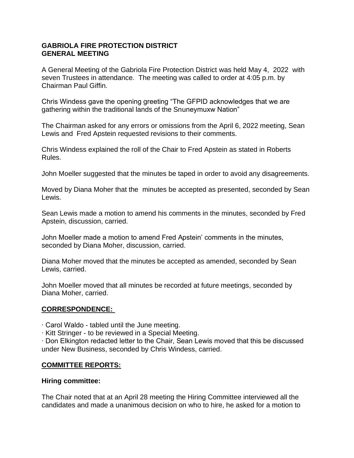### **GABRIOLA FIRE PROTECTION DISTRICT GENERAL MEETING**

A General Meeting of the Gabriola Fire Protection District was held May 4, 2022 with seven Trustees in attendance. The meeting was called to order at 4:05 p.m. by Chairman Paul Giffin.

Chris Windess gave the opening greeting "The GFPID acknowledges that we are gathering within the traditional lands of the Snuneymuxw Nation"

The Chairman asked for any errors or omissions from the April 6, 2022 meeting, Sean Lewis and Fred Apstein requested revisions to their comments.

Chris Windess explained the roll of the Chair to Fred Apstein as stated in Roberts Rules.

John Moeller suggested that the minutes be taped in order to avoid any disagreements.

Moved by Diana Moher that the minutes be accepted as presented, seconded by Sean Lewis.

Sean Lewis made a motion to amend his comments in the minutes, seconded by Fred Apstein, discussion, carried.

John Moeller made a motion to amend Fred Apstein' comments in the minutes, seconded by Diana Moher, discussion, carried.

Diana Moher moved that the minutes be accepted as amended, seconded by Sean Lewis, carried.

John Moeller moved that all minutes be recorded at future meetings, seconded by Diana Moher, carried.

# **CORRESPONDENCE:**

∙ Carol Waldo - tabled until the June meeting.

∙ Kitt Stringer - to be reviewed in a Special Meeting.

∙ Don Elkington redacted letter to the Chair, Sean Lewis moved that this be discussed under New Business, seconded by Chris Windess, carried.

# **COMMITTEE REPORTS:**

### **Hiring committee:**

The Chair noted that at an April 28 meeting the Hiring Committee interviewed all the candidates and made a unanimous decision on who to hire, he asked for a motion to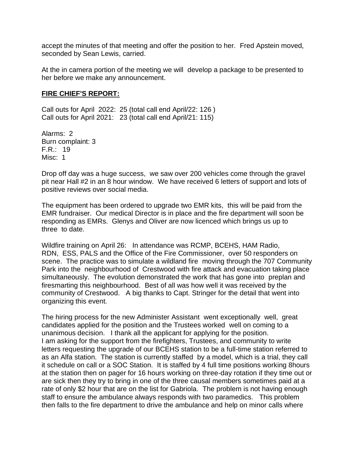accept the minutes of that meeting and offer the position to her. Fred Apstein moved, seconded by Sean Lewis, carried.

At the in camera portion of the meeting we will develop a package to be presented to her before we make any announcement.

#### **FIRE CHIEF'S REPORT:**

Call outs for April 2022: 25 (total call end April/22: 126 ) Call outs for April 2021: 23 (total call end April/21: 115)

Alarms: 2 Burn complaint: 3 F.R.: 19 Misc: 1

Drop off day was a huge success, we saw over 200 vehicles come through the gravel pit near Hall #2 in an 8 hour window. We have received 6 letters of support and lots of positive reviews over social media.

The equipment has been ordered to upgrade two EMR kits, this will be paid from the EMR fundraiser. Our medical Director is in place and the fire department will soon be responding as EMRs. Glenys and Oliver are now licenced which brings us up to three to date.

Wildfire training on April 26: In attendance was RCMP, BCEHS, HAM Radio, RDN, ESS, PALS and the Office of the Fire Commissioner, over 50 responders on scene. The practice was to simulate a wildland fire moving through the 707 Community Park into the neighbourhood of Crestwood with fire attack and evacuation taking place simultaneously. The evolution demonstrated the work that has gone into preplan and firesmarting this neighbourhood. Best of all was how well it was received by the community of Crestwood. A big thanks to Capt. Stringer for the detail that went into organizing this event.

The hiring process for the new Administer Assistant went exceptionally well, great candidates applied for the position and the Trustees worked well on coming to a unanimous decision. I thank all the applicant for applying for the position. I am asking for the support from the firefighters, Trustees, and community to write letters requesting the upgrade of our BCEHS station to be a full-time station referred to as an Alfa station. The station is currently staffed by a model, which is a trial, they call it schedule on call or a SOC Station. It is staffed by 4 full time positions working 8hours at the station then on pager for 16 hours working on three-day rotation if they time out or are sick then they try to bring in one of the three causal members sometimes paid at a rate of only \$2 hour that are on the list for Gabriola. The problem is not having enough staff to ensure the ambulance always responds with two paramedics. This problem then falls to the fire department to drive the ambulance and help on minor calls where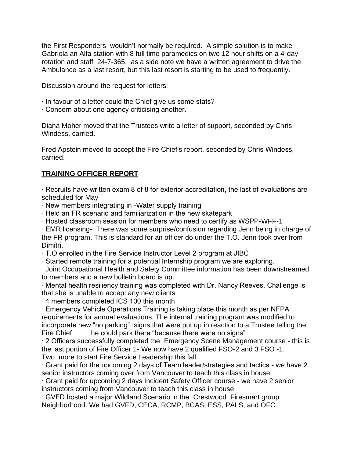the First Responders wouldn't normally be required. A simple solution is to make Gabriola an Alfa station with 8 full time paramedics on two 12 hour shifts on a 4-day rotation and staff 24-7-365, as a side note we have a written agreement to drive the Ambulance as a last resort, but this last resort is starting to be used to frequently.

Discussion around the request for letters:

- ∙ In favour of a letter could the Chief give us some stats?
- ∙ Concern about one agency criticising another.

Diana Moher moved that the Trustees write a letter of support, seconded by Chris Windess, carried.

Fred Apstein moved to accept the Fire Chief's report, seconded by Chris Windess, carried.

# **TRAINING OFFICER REPORT**

∙ Recruits have written exam 8 of 8 for exterior accreditation, the last of evaluations are scheduled for May

∙ New members integrating in -Water supply training

∙ Held an FR scenario and familiarization in the new skatepark

∙ Hosted classroom session for members who need to certify as WSPP-WFF-1

∙ EMR licensing- There was some surprise/confusion regarding Jenn being in charge of the FR program. This is standard for an officer do under the T.O. Jenn took over from Dimitri.

∙ T.O enrolled in the Fire Service Instructor Level 2 program at JIBC

∙ Started remote training for a potential Internship program we are exploring.

∙ Joint Occupational Health and Safety Committee information has been downstreamed to members and a new bulletin board is up.

∙ Mental health resiliency training was completed with Dr. Nancy Reeves. Challenge is that she is unable to accept any new clients

∙ 4 members completed ICS 100 this month

∙ Emergency Vehicle Operations Training is taking place this month as per NFPA requirements for annual evaluations. The internal training program was modified to incorporate new "no parking" signs that were put up in reaction to a Trustee telling the Fire Chief he could park there "because there were no signs"

∙ 2 Officers successfully completed the Emergency Scene Management course - this is the last portion of Fire Officer 1- We now have 2 qualified FSO-2 and 3 FSO -1. Two more to start Fire Service Leadership this fall.

∙ Grant paid for the upcoming 2 days of Team leader/strategies and tactics - we have 2 senior instructors coming over from Vancouver to teach this class in house

∙ Grant paid for upcoming 2 days Incident Safety Officer course - we have 2 senior instructors coming from Vancouver to teach this class in house

∙ GVFD hosted a major Wildland Scenario in the Crestwood Firesmart group Neighborhood. We had GVFD, CECA, RCMP, BCAS, ESS, PALS, and OFC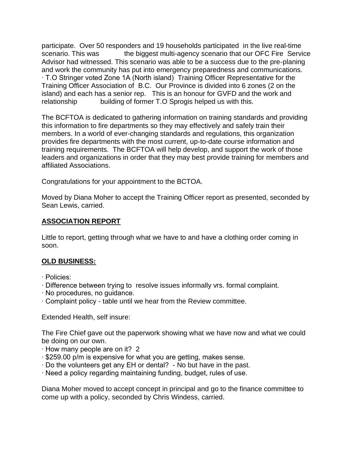participate. Over 50 responders and 19 households participated in the live real-time scenario. This was the biggest multi-agency scenario that our OFC Fire Service Advisor had witnessed. This scenario was able to be a success due to the pre-planing and work the community has put into emergency preparedness and communications. ∙ T.O Stringer voted Zone 1A (North island) Training Officer Representative for the Training Officer Association of B.C. Our Province is divided into 6 zones (2 on the island) and each has a senior rep. This is an honour for GVFD and the work and relationship building of former T.O Sprogis helped us with this.

The BCFTOA is dedicated to gathering information on training standards and providing this information to fire departments so they may effectively and safely train their members. In a world of ever-changing standards and regulations, this organization provides fire departments with the most current, up-to-date course information and training requirements. The BCFTOA will help develop, and support the work of those leaders and organizations in order that they may best provide training for members and affiliated Associations.

Congratulations for your appointment to the BCTOA.

Moved by Diana Moher to accept the Training Officer report as presented, seconded by Sean Lewis, carried.

### **ASSOCIATION REPORT**

Little to report, getting through what we have to and have a clothing order coming in soon.

# **OLD BUSINESS:**

- ∙ Policies:
- ∙ Difference between trying to resolve issues informally vrs. formal complaint.
- ∙ No procedures, no guidance.
- ∙ Complaint policy table until we hear from the Review committee.

Extended Health, self insure:

The Fire Chief gave out the paperwork showing what we have now and what we could be doing on our own.

- ∙ How many people are on it? 2
- ∙ \$259.00 p/m is expensive for what you are getting, makes sense.
- ∙ Do the volunteers get any EH or dental? No but have in the past.
- ∙ Need a policy regarding maintaining funding, budget, rules of use.

Diana Moher moved to accept concept in principal and go to the finance committee to come up with a policy, seconded by Chris Windess, carried.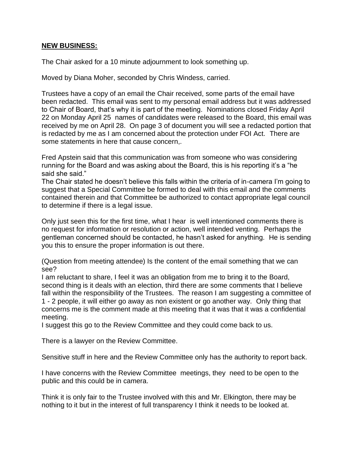### **NEW BUSINESS:**

The Chair asked for a 10 minute adjournment to look something up.

Moved by Diana Moher, seconded by Chris Windess, carried.

Trustees have a copy of an email the Chair received, some parts of the email have been redacted. This email was sent to my personal email address but it was addressed to Chair of Board, that's why it is part of the meeting. Nominations closed Friday April 22 on Monday April 25 names of candidates were released to the Board, this email was received by me on April 28. On page 3 of document you will see a redacted portion that is redacted by me as I am concerned about the protection under FOI Act. There are some statements in here that cause concern,.

Fred Apstein said that this communication was from someone who was considering running for the Board and was asking about the Board, this is his reporting it's a "he said she said."

The Chair stated he doesn't believe this falls within the criteria of in-camera I'm going to suggest that a Special Committee be formed to deal with this email and the comments contained therein and that Committee be authorized to contact appropriate legal council to determine if there is a legal issue.

Only just seen this for the first time, what I hear is well intentioned comments there is no request for information or resolution or action, well intended venting. Perhaps the gentleman concerned should be contacted, he hasn't asked for anything. He is sending you this to ensure the proper information is out there.

(Question from meeting attendee) Is the content of the email something that we can see?

I am reluctant to share, I feel it was an obligation from me to bring it to the Board, second thing is it deals with an election, third there are some comments that I believe fall within the responsibility of the Trustees. The reason I am suggesting a committee of 1 - 2 people, it will either go away as non existent or go another way. Only thing that concerns me is the comment made at this meeting that it was that it was a confidential meeting.

I suggest this go to the Review Committee and they could come back to us.

There is a lawyer on the Review Committee.

Sensitive stuff in here and the Review Committee only has the authority to report back.

I have concerns with the Review Committee meetings, they need to be open to the public and this could be in camera.

Think it is only fair to the Trustee involved with this and Mr. Elkington, there may be nothing to it but in the interest of full transparency I think it needs to be looked at.